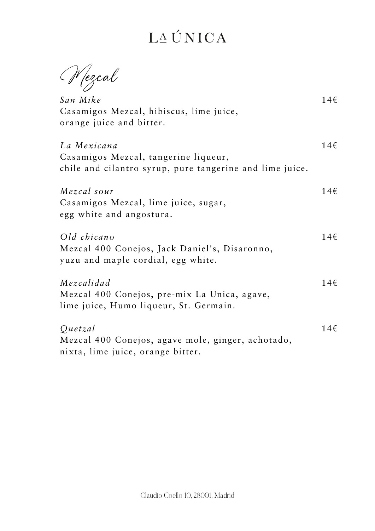Mezcal

*San Mike* Casamigos Mezcal, hibiscus, lime juice, orange juice and bitter.

*La Mexicana* Casamigos Mezcal, tangerine liqueur,

chile and cilantro syrup, pure tangerine and lime juice.

*Mezcal sour* Casamigos Mezcal, lime juice, sugar, egg white and angostura.

*Old chicano* Mezcal 400 Conejos, Jack Daniel's, Disaronno, yuzu and maple cordial, egg white.

*Mezcalidad* Mezcal 400 Conejos, pre-mix La Unica, agave, lime juice, Humo liqueur, St. Germain.

#### *Quetzal*

Mezcal 400 Conejos, agave mole, ginger, achotado, nixta, lime juice, orange bitter.

14€

14€

14€

14€

14€

#### 14€

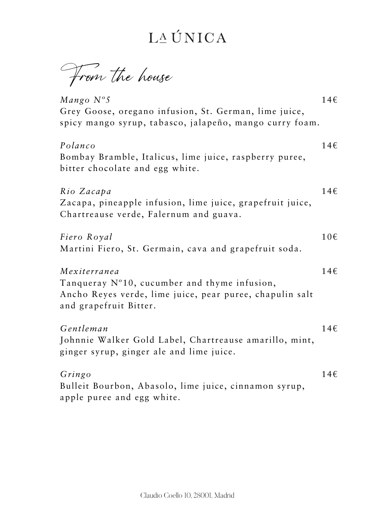From the house

*Mango Nº5* Grey Goose, oregano infusion, St. German, lime juice, spicy mango syrup, tabasco, jalapeño, mango curry foam. 14€

*Polanco* Bombay Bramble, Italicus, lime juice, raspberry puree, bitter chocolate and egg white. 14€

*Rio Zacapa* Zacapa, pineapple infusion, lime juice, grapefruit juice, Chartreause verde, Falernum and guava. 14€

*Fiero Royal* Martini Fiero, St. Germain, cava and grapefruit soda. 10€

#### *Gentleman*

*Mexiterranea* Tanqueray Nº10, cucumber and thyme infusion, Ancho Reyes verde, lime juice, pear puree, chapulin salt and grapefruit Bitter. 14€

Johnnie Walker Gold Label, Chartreause amarillo, mint, ginger syrup, ginger ale and lime juice.

*Gringo* Bulleit Bourbon, Abasolo, lime juice, cinnamon syrup, apple puree and egg white. 14€

Claudio Coello 10, 28001, Madrid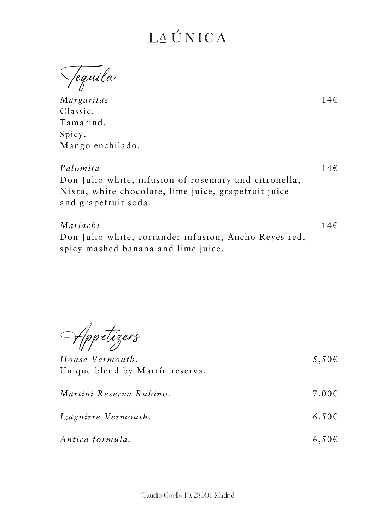Tequila

*Margaritas* Classic. Tamarind. Spicy. Mango enchilado.

#### *Palomita*

Don Julio white, infusion of rosemary and citronella, Nixta, white chocolate, lime juice, grapefruit juice and grapefruit soda.

*Mariachi* Don Julio white, coriander infusion, Ancho Reyes red, spicy mashed banana and lime juice. 14€

14€



*House Vermouth.* Unique blend by Martín reserva.

*Martini Reserva Rubino.*

*Izaguirre Vermouth.*

*Antica formula.*

5,50€

7,00€

6,50€

6,50€

Claudio Coello 10, 28001, Madrid